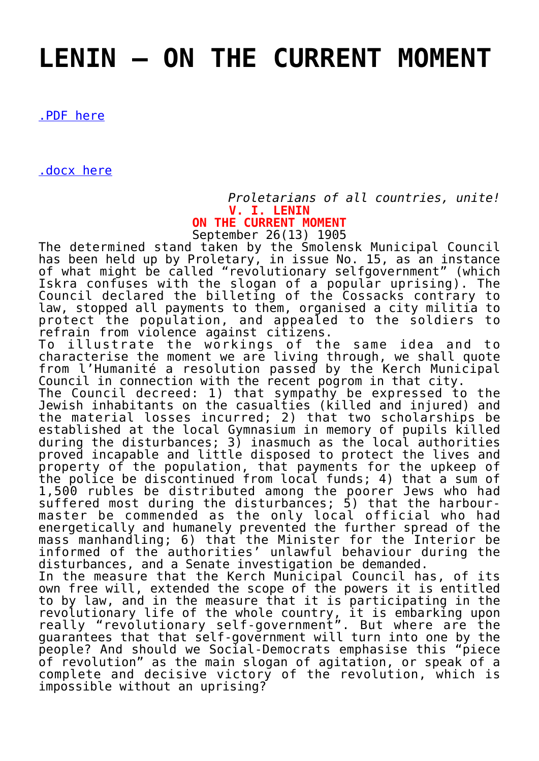## **[LENIN – ON THE CURRENT MOMENT](https://ci-ic.org/blog/2021/02/24/lenin-on-the-current-moment/)**

[.PDF here](https://ci-ic.org/wp-content/uploads/2021/02/Lenin-On-the-Current-Moment.pdf)

[.docx here](https://ci-ic.org/wp-content/uploads/2021/02/Lenin-On-the-Current-Moment.docx)

*Proletarians of all countries, unite!* **V. I. LENIN ON THE CURRENT MOMENT**

September 26(13) 1905

The determined stand taken by the Smolensk Municipal Council has been held up by Proletary, in issue No. 15, as an instance of what might be called "revolutionary selfgovernment" (which Iskra confuses with the slogan of a popular uprising). The Council declared the billeting of the Cossacks contrary to law, stopped all payments to them, organised a city militia to protect the population, and appealed to the soldiers to refrain from violence against citizens.

To illustrate the workings of the same idea and to characterise the moment we are living through, we shall quote from l'Humanité a resolution passed by the Kerch Municipal Council in connection with the recent pogrom in that city.

The Council decreed: 1) that sympathy be expressed to the Jewish inhabitants on the casualties (killed and injured) and the material losses incurred; 2) that two scholarships be established at the local Gymnasium in memory of pupils killed during the disturbances; 3) inasmuch as the local authorities proved incapable and little disposed to protect the lives and property of the population, that payments for the upkeep of the police be discontinued from local funds; 4) that a sum of 1,500 rubles be distributed among the poorer Jews who had suffered most during the disturbances; 5) that the harbourmaster be commended as the only local official who had energetically and humanely prevented the further spread of the mass manhandling; 6) that the Minister for the Interior be informed of the authorities' unlawful behaviour during the disturbances, and a Senate investigation be demanded.

In the measure that the Kerch Municipal Council has, of its own free will, extended the scope of the powers it is entitled to by law, and in the measure that it is participating in the revolutionary life of the whole country, it is embarking upon really "revolutionary self-government". But where are the guarantees that that self-government will turn into one by the people? And should we Social-Democrats emphasise this "piece of revolution" as the main slogan of agitation, or speak of a complete and decisive victory of the revolution, which is impossible without an uprising?